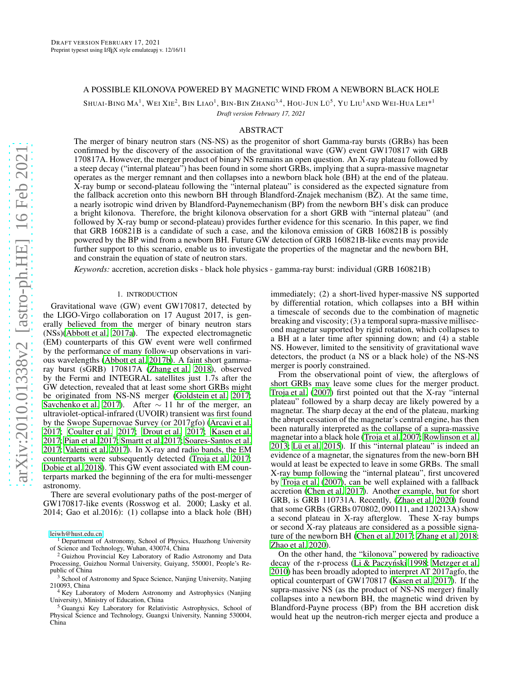# A POSSIBLE KILONOVA POWERED BY MAGNETIC WIND FROM A NEWBORN BLACK HOLE

SHUAI-BING  $\rm{MA}^{1},$  Wei Xie $^{2},$  Bin Liao $^{1},$  Bin-Bin Zhang $^{3,4},$  Hou-Jun Lü $^{5},$  Yu Liu $^{1}$ and Wei-Hua Lei $^{*1}$ 

*Draft version February 17, 2021*

# ABSTRACT

The merger of binary neutron stars (NS-NS) as the progenitor of short Gamma-ray bursts (GRBs) has been confirmed by the discovery of the association of the gravitational wave (GW) event GW170817 with GRB 170817A. However, the merger product of binary NS remains an open question. An X-ray plateau followed by a steep decay ("internal plateau") has been found in some short GRBs, implying that a supra-massive magnetar operates as the merger remnant and then collapses into a newborn black hole (BH) at the end of the plateau. X-ray bump or second-plateau following the "internal plateau" is considered as the expected signature from the fallback accretion onto this newborn BH through Blandford-Znajek mechanism (BZ). At the same time, a nearly isotropic wind driven by Blandford-Paynemechanism (BP) from the newborn BH's disk can produce a bright kilonova. Therefore, the bright kilonova observation for a short GRB with "internal plateau" (and followed by X-ray bump or second-plateau) provides further evidence for this scenario. In this paper, we find that GRB 160821B is a candidate of such a case, and the kilonova emission of GRB 160821B is possibly powered by the BP wind from a newborn BH. Future GW detection of GRB 160821B-like events may provide further support to this scenario, enable us to investigate the properties of the magnetar and the newborn BH, and constrain the equation of state of neutron stars.

*Keywords:* accretion, accretion disks - black hole physics - gamma-ray burst: individual (GRB 160821B)

#### 1. INTRODUCTION

Gravitational wave (GW) event GW170817, detected by the LIGO-Virgo collaboration on 17 August 2017, is generally believed from the merger of binary neutron stars (NSs)[\(Abbott et al. 2017a\)](#page-5-0). The expected electromagnetic (EM) counterparts of this GW event were well confirmed by the performance of many follow-up observations in various wavelengths [\(Abbott et al. 2017b\)](#page-5-1). A faint short gammaray burst (sGRB) 170817A [\(Zhang et al. 2018\)](#page-5-2), observed by the Fermi and INTEGRAL satellites just 1.7s after the GW detection, revealed that at least some short GRBs might be originated from NS-NS merger [\(Goldstein et al. 2017;](#page-5-3) [Savchenko et al. 2017\)](#page-5-4). After  $\sim$  11 hr of the merger, an ultraviolet-optical-infrared (UVOIR) transient was first found by the Swope Supernovae Survey (or 2017gfo) [\(Arcavi et al.](#page-5-5) [2017;](#page-5-5) [Coulter et al. 2017](#page-5-6); [Drout et al. 2017](#page-5-7); [Kasen et al.](#page-5-8) [2017;](#page-5-8) [Pian et al. 2017;](#page-5-9) [Smartt et al. 2017](#page-5-10); [Soares-Santos et al.](#page-5-11) [2017;](#page-5-11) [Valenti et al. 2017](#page-5-12)). In X-ray and radio bands, the EM counterparts were subsequently detected [\(Troja et al. 2017;](#page-5-13) [Dobie et al. 2018\)](#page-5-14). This GW event associated with EM counterparts marked the beginning of the era for multi-messenger astronomy.

There are several evolutionary paths of the post-merger of GW170817-like events (Rosswog et al. 2000; Lasky et al. 2014; Gao et al.2016): (1) collapse into a black hole (BH)

[leiwh@hust.edu.cn](mailto:leiwh@hust.edu.cn)

immediately; (2) a short-lived hyper-massive NS supported by differential rotation, which collapses into a BH within a timescale of seconds due to the combination of magnetic breaking and viscosity; (3) a temporal supra-massive millisecond magnetar supported by rigid rotation, which collapses to a BH at a later time after spinning down; and (4) a stable NS. However, limited to the sensitivity of gravitational wave detectors, the product (a NS or a black hole) of the NS-NS merger is poorly constrained.

From the observational point of view, the afterglows of short GRBs may leave some clues for the merger product. [Troja et al. \(2007\)](#page-5-15) first pointed out that the X-ray "internal plateau" followed by a sharp decay are likely powered by a magnetar. The sharp decay at the end of the plateau, marking the abrupt cessation of the magnetar's central engine, has then been naturally interpreted as the collapse of a supra-massive magnetar into a black hole [\(Troja et al. 2007](#page-5-15); [Rowlinson et al.](#page-5-16) [2013;](#page-5-16) [Lü et al. 2015\)](#page-5-17). If this "internal plateau" is indeed an evidence of a magnetar, the signatures from the new-born BH would at least be expected to leave in some GRBs. The small X-ray bump following the "internal plateau", first uncovered by [Troja et al. \(2007\)](#page-5-15), can be well explained with a fallback accretion [\(Chen et al. 2017\)](#page-5-18). Another example, but for short GRB, is GRB 110731A. Recently, [\(Zhao et al. 2020\)](#page-5-19) found that some GRBs (GRBs 070802, 090111, and 120213A) show a second plateau in X-ray afterglow. These X-ray bumps or second X-ray plateaus are considered as a possible signature of the newborn BH [\(Chen et al. 2017;](#page-5-18) [Zhang et al. 2018](#page-5-20); [Zhao et al. 2020\)](#page-5-19).

On the other hand, the "kilonova" powered by radioactive decay of the r-process (Li & Paczyński 1998; [Metzger et al.](#page-5-22) [2010\)](#page-5-22) has been broadly adopted to interpret AT 2017agfo, the optical counterpart of GW170817 [\(Kasen et al. 2017\)](#page-5-8). If the supra-massive NS (as the product of NS-NS merger) finally collapses into a newborn BH, the magnetic wind driven by Blandford-Payne process (BP) from the BH accretion disk would heat up the neutron-rich merger ejecta and produce a

<sup>&</sup>lt;sup>1</sup> Department of Astronomy, School of Physics, Huazhong University of Science and Technology, Wuhan, 430074, China

<sup>&</sup>lt;sup>2</sup> Guizhou Provincial Key Laboratory of Radio Astronomy and Data Processing, Guizhou Normal University, Guiyang, 550001, People's Republic of China

<sup>&</sup>lt;sup>3</sup> School of Astronomy and Space Science, Nanjing University, Nanjing 210093, China

<sup>&</sup>lt;sup>4</sup> Key Laboratory of Modern Astronomy and Astrophysics (Nanjing University), Ministry of Education, China

<sup>5</sup> Guangxi Key Laboratory for Relativistic Astrophysics, School of Physical Science and Technology, Guangxi University, Nanning 530004, China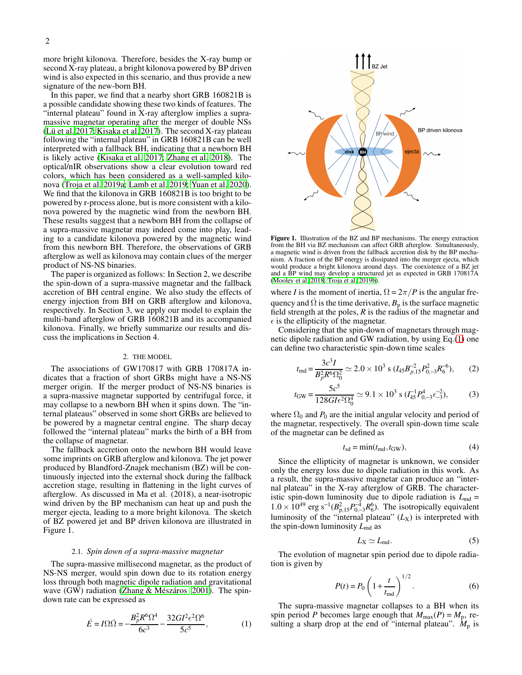more bright kilonova. Therefore, besides the X-ray bump or second X-ray plateau, a bright kilonova powered by BP driven wind is also expected in this scenario, and thus provide a new signature of the new-born BH.

In this paper, we find that a nearby short GRB 160821B is a possible candidate showing these two kinds of features. The "internal plateau" found in X-ray afterglow implies a supramassive magnetar operating after the merger of double NSs [\(Lü et al. 2017;](#page-5-23) [Kisaka et al. 2017](#page-5-24)). The second X-ray plateau following the "internal plateau" in GRB 160821B can be well interpreted with a fallback BH, indicating that a newborn BH is likely active [\(Kisaka et al. 2017;](#page-5-24) [Zhang et al. 2018\)](#page-5-20). The optical/nIR observations show a clear evolution toward red colors, which has been considered as a well-sampled kilonova [\(Troja et al. 2019a;](#page-5-25) [Lamb et al. 2019;](#page-5-26) [Yuan et al. 2020\)](#page-5-27). We find that the kilonova in GRB 160821B is too bright to be powered by r-process alone, but is more consistent with a kilonova powered by the magnetic wind from the newborn BH. These results suggest that a newborn BH from the collapse of a supra-massive magnetar may indeed come into play, leading to a candidate kilonova powered by the magnetic wind from this newborn BH. Therefore, the observations of GRB afterglow as well as kilonova may contain clues of the merger product of NS-NS binaries.

The paper is organized as follows: In Section 2, we describe the spin-down of a supra-massive magnetar and the fallback accretion of BH central engine. We also study the effects of energy injection from BH on GRB afterglow and kilonova, respectively. In Section 3, we apply our model to explain the multi-band afterglow of GRB 160821B and its accompanied kilonova. Finally, we briefly summarize our results and discuss the implications in Section 4.

# 2. THE MODEL

The associations of GW170817 with GRB 170817A indicates that a fraction of short GRBs might have a NS-NS merger origin. If the merger product of NS-NS binaries is a supra-massive magnetar supported by centrifugal force, it may collapse to a newborn BH when it spins down. The "internal plateaus" observed in some short GRBs are believed to be powered by a magnetar central engine. The sharp decay followed the "internal plateau" marks the birth of a BH from the collapse of magnetar.

The fallback accretion onto the newborn BH would leave some imprints on GRB afterglow and kilonova. The jet power produced by Blandford-Znajek mechanism (BZ) will be continuously injected into the external shock during the fallback accretion stage, resulting in flattening in the light curves of afterglow. As discussed in Ma et al. (2018), a near-isotropic wind driven by the BP mechanism can heat up and push the merger ejecta, leading to a more bright kilonova. The sketch of BZ powered jet and BP driven kilonova are illustrated in Figure 1.

## 2.1. *Spin down of a supra-massive magnetar*

The supra-massive millisecond magnetar, as the product of NS-NS merger, would spin down due to its rotation energy loss through both magnetic dipole radiation and gravitational wave (GW) radiation [\(Zhang & Mészáros 2001](#page-5-28)). The spindown rate can be expressed as

<span id="page-1-0"></span>
$$
\dot{E} = I\Omega \dot{\Omega} = -\frac{B_p^2 R^6 \Omega^4}{6c^3} - \frac{32GI^2 \epsilon^2 \Omega^6}{5c^5},
$$
 (1)



Figure 1. Illustration of the BZ and BP mechanisms. The energy extraction from the BH via BZ mechanism can affect GRB afterglow. Simultaneously, a magnetic wind is driven from the fallback accretion disk by the BP mechanism. A fraction of the BP energy is dissipated into the merger ejecta, which would produce a bright kilonova around days. The coexistence of a BZ jet and a BP wind may develop a structured jet as expected in GRB 170817A [\(Mooley et al. 2018](#page-5-29); [Troja et al. 2019b\)](#page-5-30).

where *I* is the moment of inertia,  $\Omega = 2\pi/P$  is the angular frequency and  $\dot{\Omega}$  is the time derivative,  $B_p$  is the surface magnetic field strength at the poles, *R* is the radius of the magnetar and  $\epsilon$  is the ellipticity of the magnetar.

Considering that the spin-down of magnetars through magnetic dipole radiation and GW radiation, by using Eq.[\(1\)](#page-1-0) one can define two characteristic spin-down time scales

$$
t_{\rm md} = \frac{3c^3I}{B_p^2R^6\Omega_0^2} \simeq 2.0 \times 10^3 \text{ s } (I_{45}B_{p,15}^{-2}P_{0,-3}^2R_6^{-6}), \qquad (2)
$$

$$
t_{\rm GW} = \frac{5c^5}{128GI\epsilon^2\Omega_0^4} \simeq 9.1 \times 10^3 \text{ s } (I_{45}^{-1}P_{0,-3}^4\epsilon_{-3}^{-2}),\tag{3}
$$

where  $\Omega_0$  and  $P_0$  are the initial angular velocity and period of the magnetar, respectively. The overall spin-down time scale of the magnetar can be defined as

$$
t_{\rm sd} = \min(t_{\rm md}, t_{\rm GW}),\tag{4}
$$

Since the ellipticity of magnetar is unknown, we consider only the energy loss due to dipole radiation in this work. As a result, the supra-massive magnetar can produce an "internal plateau" in the X-ray afterglow of GRB. The characteristic spin-down luminosity due to dipole radiation is  $L_{\text{md}} =$  $1.0 \times 10^{49}$  erg s<sup>-1</sup>( $B_{p,15}^2 P_{0,-3}^{-4} R_6^6$ ). The isotropically equivalent luminosity of the "internal plateau"  $(L_X)$  is interpreted with the spin-down luminosity  $L_{\text{md}}$  as

<span id="page-1-1"></span>
$$
L_{\rm X} \simeq L_{\rm md}.\tag{5}
$$

The evolution of magnetar spin period due to dipole radiation is given by

$$
P(t) = P_0 \left( 1 + \frac{t}{t_{\text{md}}} \right)^{1/2}.
$$
 (6)

The supra-massive magnetar collapses to a BH when its spin period *P* becomes large enough that  $M_{\text{max}}(P) = M_p$ , resulting a sharp drop at the end of "internal plateau".  $M_p$  is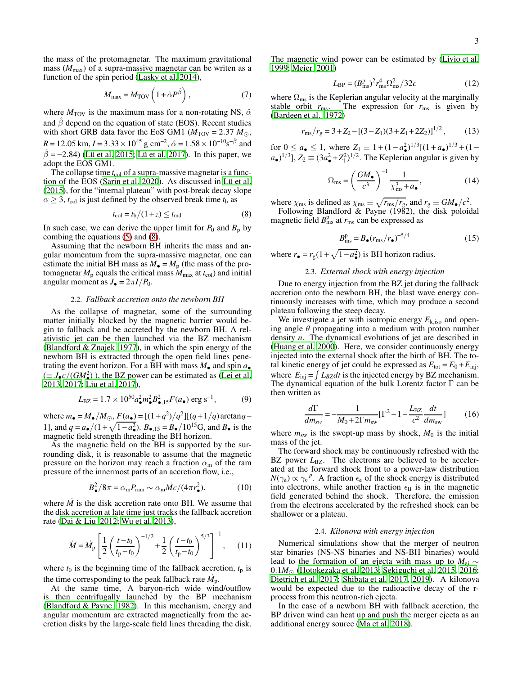the mass of the protomagnetar. The maximum gravitational mass  $(M_{\text{max}})$  of a supra-massive magnetar can be writen as a function of the spin period [\(Lasky et al. 2014\)](#page-5-31),

<span id="page-2-1"></span>
$$
M_{\text{max}} = M_{\text{TOV}} \left( 1 + \hat{\alpha} P^{\hat{\beta}} \right),\tag{7}
$$

where  $M_{\text{TOV}}$  is the maximum mass for a non-rotating NS,  $\hat{\alpha}$ and  $\hat{\beta}$  depend on the equation of state (EOS). Recent studies with short GRB data favor the EoS GM1 ( $M_{\text{TOV}} = 2.37 M_{\odot}$ ),  $R = 12.05$  km,  $I = 3.33 \times 10^{45}$  g cm<sup>-2</sup>,  $\hat{\alpha} = 1.58 \times 10^{-10}$ s<sup>- $\hat{\beta}$ </sup> and  $\hat{\beta}$  = −2.84) [\(Lü et al. 2015](#page-5-17); [Lü et al. 2017\)](#page-5-23). In this paper, we adopt the EOS GM1.

The collapse time  $t_{\text{col}}$  of a supra-massive magnetar is a function of the EOS [\(Sarin et al. 2020](#page-5-32)). As discussed in [Lü et al.](#page-5-17) [\(2015](#page-5-17)), for the "internal plateau" with post-break decay slope  $\alpha \geq 3$ ,  $t_{\text{col}}$  is just defined by the observed break time  $t_{\text{b}}$  as

<span id="page-2-0"></span>
$$
t_{\rm col} = t_{\rm b}/(1+z) \le t_{\rm md} \tag{8}
$$

In such case, we can derive the upper limit for  $P_0$  and  $B_p$  by combing the equations [\(5\)](#page-1-1) and [\(8\)](#page-2-0).

Assuming that the newborn BH inherits the mass and angular momentum from the supra-massive magnetar, one can estimate the initial BH mass as  $M_{\bullet} = M_{p}$  (the mass of the protomagnetar  $M_p$  equals the critical mass  $M_{\text{max}}$  at  $t_{\text{col}}$ ) and initial angular moment as  $J_{\bullet} = 2\pi I/P_0$ .

# 2.2. *Fallback accretion onto the newborn BH*

As the collapse of magnetar, some of the surrounding matter initially blocked by the magnetic barrier would begin to fallback and be accreted by the newborn BH. A relativistic jet can be then launched via the BZ mechanism [\(Blandford & Znajek 1977](#page-5-33)), in which the spin energy of the newborn BH is extracted through the open field lines penetrating the event horizon. For a BH with mass  $M_{\bullet}$  and spin  $a_{\bullet}$  $(\equiv J_{\bullet} c/(GM_{\bullet}^2))$ , the BZ power can be estimated as [\(Lei et al.](#page-5-34) [2013,](#page-5-34) [2017;](#page-5-35) [Liu et al. 2017\)](#page-5-36),

$$
L_{\rm BZ} = 1.7 \times 10^{50} a_{\bullet}^2 m_{\bullet}^2 B_{\bullet, 15}^2 F(a_{\bullet}) \text{ erg s}^{-1},\tag{9}
$$

where  $m_{\bullet} = M_{\bullet}/M_{\odot}$ ,  $F(a_{\bullet}) = [(1+q^2)/q^2][(q+1/q) \arctan q -$ 1], and  $q = a_{\bullet}/(1 + \sqrt{1 - a_{\bullet}^2})$ .  $B_{\bullet,15} = B_{\bullet}/10^{15}$ G, and  $B_{\bullet}$  is the magnetic field strength threading the BH horizon.

As the magnetic field on the BH is supported by the surrounding disk, it is reasonable to assume that the magnetic pressure on the horizon may reach a fraction  $\alpha_m$  of the ram pressure of the innermost parts of an accretion flow, i.e.,

$$
B_{\bullet}^{2}/8\pi = \alpha_{\rm m} P_{\rm ram} \sim \alpha_{\rm m} \dot{M} c / (4\pi r_{\bullet}^{2}).
$$
 (10)

where  $M$  is the disk accretion rate onto BH. We assume that the disk accretion at late time just tracks the fallback accretion rate [\(Dai & Liu 2012;](#page-5-37) [Wu et al. 2013\)](#page-5-38),

$$
\dot{M} = \dot{M}_{\rm p} \left[ \frac{1}{2} \left( \frac{t - t_0}{t_{\rm p} - t_0} \right)^{-1/2} + \frac{1}{2} \left( \frac{t - t_0}{t_{\rm p} - t_0} \right)^{5/3} \right]^{-1}, \quad (11)
$$

where  $t_0$  is the beginning time of the fallback accretion,  $t_p$  is the time corresponding to the peak fallback rate  $\dot{M}_{\rm p}$ .

At the same time, A baryon-rich wide wind/outflow is then centrifugally launched by the BP mechanism [\(Blandford & Payne 1982\)](#page-5-39). In this mechanism, energy and angular momentum are extracted magnetically from the accretion disks by the large-scale field lines threading the disk.

The magnetic wind power can be estimated by [\(Livio et al.](#page-5-40) [1999;](#page-5-40) [Meier 2001\)](#page-5-41)

$$
L_{\rm BP} = (B_{\rm ms}^{\rm p})^2 r_{\rm ms}^4 \Omega_{\rm ms}^2 / 32c \tag{12}
$$

where  $\Omega_{\text{ms}}$  is the Keplerian angular velocity at the marginally stable orbit  $r_{\text{ms}}$ . The expression for  $r_{\text{ms}}$  is given by [\(Bardeen et al. 1972\)](#page-5-42)

$$
r_{\rm ms}/r_{\rm g} = 3 + Z_2 - [(3 - Z_1)(3 + Z_1 + 2Z_2)]^{1/2},\tag{13}
$$

for  $0 \le a_{\bullet} \le 1$ , where  $Z_1 \equiv 1 + (1 - a_{\bullet}^2)^{1/3}[(1 + a_{\bullet})^{1/3} + (1 - a_{\bullet}^2)^{1/3}]$  $a_{\bullet}$ <sup>1/3</sup>],  $Z_2 \equiv (3a_{\bullet}^2 + Z_1^2)^{1/2}$ . The Keplerian angular is given by

$$
\Omega_{\rm ms} = \left(\frac{GM_{\bullet}}{c^3}\right)^{-1} \frac{1}{\chi_{\rm ms}^3 + a_{\bullet}},\tag{14}
$$

where  $\chi_{\text{ms}}$  is defined as  $\chi_{\text{ms}} \equiv \sqrt{r_{\text{ms}}/r_{\text{g}}}$ , and  $r_{\text{g}} \equiv GM_{\bullet}/c^2$ .

Following Blandford & Payne (1982), the disk poloidal magnetic field  $B_{\text{ms}}^{\text{p}}$  at  $r_{\text{ms}}$  can be expressed as

$$
B_{\rm ms}^{\rm p} = B_{\bullet} (r_{\rm ms}/r_{\bullet})^{-5/4}
$$
 (15)

where  $r_{\bullet} = r_{g}(1 + \sqrt{1 - a_{\bullet}^{2}})$  is BH horizon radius.

## 2.3. *External shock with energy injection*

Due to energy injection from the BZ jet during the fallback accretion onto the newborn BH, the blast wave energy continuously increases with time, which may produce a second plateau following the steep decay.

We investigate a jet with isotropic energy  $E_{k,iso}$  and opening angle  $\theta$  propagating into a medium with proton number density *n*. The dynamical evolutions of jet are described in [\(Huang et al. 2000\)](#page-5-43). Here, we consider continuously energy injected into the external shock after the birth of BH. The total kinetic energy of jet could be expressed as  $E_{\text{tot}} = E_0 + E_{\text{inj}}$ , where  $E_{\text{inj}} = \int L_{BZ} dt$  is the injected energy by BZ mechanism. The dynamical equation of the bulk Lorentz factor  $\Gamma$  can be then written as

$$
\frac{d\Gamma}{dm_{sw}} = -\frac{1}{M_0 + 2\Gamma m_{sw}} [\Gamma^2 - 1 - \frac{L_{\rm BZ}}{c^2} \frac{dt}{dm_{sw}}] \tag{16}
$$

where  $m_{sw}$  is the swept-up mass by shock,  $M_0$  is the initial mass of the jet.

The forward shock may be continuously refreshed with the BZ power  $L_{BZ}$ . The electrons are believed to be accelerated at the forward shock front to a power-law distribution  $N(\gamma_e) \propto \gamma_e^{-p}$ . A fraction  $\epsilon_e$  of the shock energy is distributed into electrons, while another fraction  $\epsilon_B$  is in the magnetic field generated behind the shock. Therefore, the emission from the electrons accelerated by the refreshed shock can be shallower or a plateau.

#### 2.4. *Kilonova with energy injection*

Numerical simulations show that the merger of neutron star binaries (NS-NS binaries and NS-BH binaries) would lead to the formation of an ejecta with mass up to *M*ej ∼ 0.1*M*<sup>⊙</sup> [\(Hotokezaka et al. 2013;](#page-5-44) [Sekiguchi et al. 2015,](#page-5-45) [2016](#page-5-46); [Dietrich et al. 2017;](#page-5-47) [Shibata et al. 2017,](#page-5-48) [2019\)](#page-5-49). A kilonova would be expected due to the radioactive decay of the rprocess from this neutron-rich ejecta.

In the case of a newborn BH with fallback accretion, the BP driven wind can heat up and push the merger ejecta as an additional energy source [\(Ma et al. 2018\)](#page-5-50).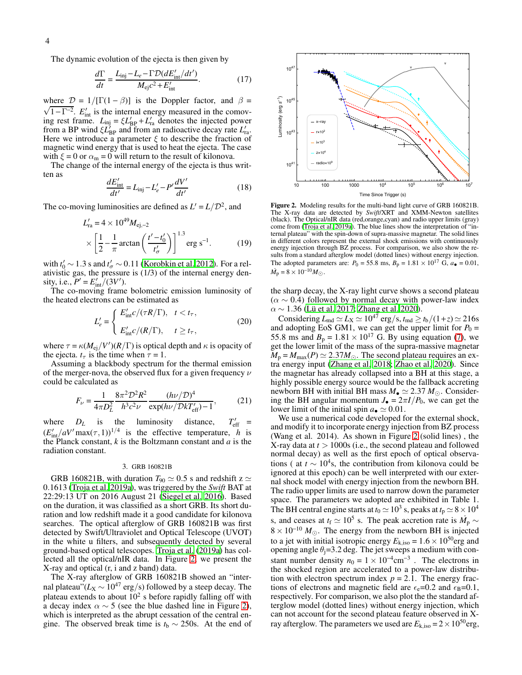The dynamic evolution of the ejecta is then given by

$$
\frac{d\Gamma}{dt} = \frac{L_{\text{inj}} - L_e - \Gamma \mathcal{D}(dE'_{\text{int}}/dt')}{M_{\text{ej}}c^2 + E'_{\text{int}}}. \tag{17}
$$

where  $\mathcal{D} = 1/[\Gamma(1 - \beta)]$  is the Doppler factor, and  $\beta = \sqrt{1 - \Gamma^{-2}}$ . *E*<sub>int</sub> is the internal energy measured in the comoving rest frame.  $L_{\text{inj}} = \xi L'_{\text{BP}} + L'_{\text{ra}}$  denotes the injected power from a BP wind  $\xi L'_{\text{BP}}$  and from an radioactive decay rate  $L'_{\text{ra}}$ . Here we introduce a parameter  $\xi$  to describe the fraction of magnetic wind energy that is used to heat the ejecta. The case with  $\xi = 0$  or  $\alpha_m = 0$  will return to the result of kilonova.

The change of the internal energy of the ejecta is thus written as

$$
\frac{dE'_{\text{int}}}{dt'} = L_{\text{inj}} - L'_{e} - P' \frac{dV'}{dt'}
$$
(18)

The co-moving luminosities are defined as  $L' = L/D^2$ , and

$$
L'_{\rm ra} = 4 \times 10^{49} M_{\rm ej,-2}
$$
  
 
$$
\times \left[ \frac{1}{2} - \frac{1}{\pi} \arctan\left( \frac{t'-t'_0}{t'_\sigma} \right) \right]^{1.3} \text{erg s}^{-1}.
$$
 (19)

with  $t'_0 \sim 1.3$  s and  $t'_\sigma \sim 0.11$  [\(Korobkin et al. 2012](#page-5-51)). For a relativistic gas, the pressure is (1/3) of the internal energy density, i.e.,  $P' = E'_{\text{int}}/(3V')$ .

The co-moving frame bolometric emission luminosity of the heated electrons can be estimated as

$$
L'_{e} = \begin{cases} E'_{\text{int}} c/(\tau R/\Gamma), & t < t_{\tau}, \\ E'_{\text{int}} c/(R/\Gamma), & t \ge t_{\tau}, \end{cases}
$$
 (20)

where  $\tau = \kappa (M_{\rm ej}/V') (R/\Gamma)$  is optical depth and  $\kappa$  is opacity of the ejecta.  $t_{\tau}$  is the time when  $\tau = 1$ .

Assuming a blackbody spectrum for the thermal emission of the merger-nova, the observed flux for a given frequency  $\nu$ could be calculated as

$$
F_{\nu} = \frac{1}{4\pi D_L^2} \frac{8\pi^2 D^2 R^2}{h^3 c^2 \nu} \frac{(h\nu/\mathcal{D})^4}{\exp(h\nu/\mathcal{D}kT'_{\text{eff}}) - 1},\tag{21}
$$

where  $D_L$  is the luminosity distance,  $\frac{v}{\text{eff}}$  =  $(E'_{int}/aV' \max(\tau,1))^{1/4}$  is the effective temperature, *h* is the Planck constant, *k* is the Boltzmann constant and *a* is the radiation constant.

#### 3. GRB 160821B

GRB 160821B, with duration  $T_{90} \simeq 0.5$  s and redshift z  $\simeq$ 0.1613 [\(Troja et al. 2019a\)](#page-5-25), was triggered by the *Swift* BAT at 22:29:13 UT on 2016 August 21 [\(Siegel et al. 2016\)](#page-5-52). Based on the duration, it was classified as a short GRB. Its short duration and low redshift made it a good candidate for kilonova searches. The optical afterglow of GRB 160821B was first detected by Swift/Ultraviolet and Optical Telescope (UVOT) in the white u filters, and subsequently detected by several ground-based optical telescopes. [Troja et al. \(2019a\)](#page-5-25) has collected all the optical/nIR data. In Figure [2,](#page-3-0) we present the X-ray and optical (r, i and z band) data.

The X-ray afterglow of GRB 160821B showed an "internal plateau"( $L_X \sim 10^{47}$  erg/s) followed by a steep decay. The plateau extends to about  $10^2$  s before rapidly falling off with a decay index  $\alpha \sim 5$  (see the blue dashed line in Figure [2\)](#page-3-0), which is interpreted as the abrupt cessation of the central engine. The observed break time is  $t<sub>b</sub> \sim 250$ s. At the end of



<span id="page-3-0"></span>Figure 2. Modeling results for the multi-band light curve of GRB 160821B. The X-ray data are detected by *Swift*/XRT and XMM-Newton satellites (black). The Optical/nIR data (red,orange,cyan) and radio upper limits (gray) come from [\(Troja et al. 2019a](#page-5-25)). The blue lines show the interpretation of "internal plateau" with the spin-down of supra-massive magnetar. The solid lines in different colors represent the external shock emissions with continuously energy injection through BZ process. For comparison, we also show the results from a standard afterglow model (dotted lines) without energy injection. The adopted parameters are:  $P_0 = 55.8 \text{ ms}, B_p = 1.81 \times 10^{17} \text{ G}, a_{\bullet} = 0.01$ ,  $\dot{M}_{\rm p} = 8 \times 10^{-10} M_{\odot}$ .

the sharp decay, the X-ray light curve shows a second plateau  $(\alpha \sim 0.4)$  followed by normal decay with power-law index  $\alpha \sim 1.36$  [\(Lü et al. 2017](#page-5-23); [Zhang et al. 2020\)](#page-5-53).

Considering  $L_{\text{md}} \simeq L_{\text{X}} \simeq 10^{47} \text{ erg/s}, t_{\text{md}} \geq t_{\text{b}}/(1+z) \simeq 216 \text{s}$ <br>and adopting EoS GM1, we can get the upper limit for  $P_0 =$ 55.8 ms and  $B_p = 1.81 \times 10^{17}$  G. By using equation [\(7\)](#page-2-1), we get the lower limit of the mass of the supra-massive magnetar  $M_p = M_{\text{max}}(P) \simeq 2.37 M_{\odot}$ . The second plateau requires an extra energy input [\(Zhang et al. 2018](#page-5-20); [Zhao et al. 2020\)](#page-5-19). Since the magnetar has already collapsed into a BH at this stage, a highly possible energy source would be the fallback accreting newborn BH with initial BH mass  $M_{\bullet} \simeq 2.37 M_{\odot}$ . Considering the BH angular momentum  $J_{\bullet} = 2\pi I/P_0$ , we can get the lower limit of the initial spin  $a_{\bullet} \simeq 0.01$ .

We use a numerical code developed for the external shock, and modify it to incorporate energy injection from BZ process (Wang et al. 2014). As shown in Figure [2](#page-3-0) (solid lines) , the X-ray data at *t* > 1000s (i.e., the second plateau and followed normal decay) as well as the first epoch of optical observations ( at  $t \sim 10^4$ s, the contribution from kilonova could be ignored at this epoch) can be well interpreted with our external shock model with energy injection from the newborn BH. The radio upper limits are used to narrow down the parameter space. The parameters we adopted are exhibited in Table 1. The BH central engine starts at *t*<sub>0</sub>  $\simeq 10^3$  s, peaks at *t*<sub>p</sub>  $\simeq 8 \times 10^4$ s, and ceases at  $t_f \simeq 10^5$  s. The peak accretion rate is  $\dot{M}_p \sim$  $8 \times 10^{-10}$  *M*<sub>⊙</sub>. The energy from the newborn BH is injected to a jet with initial isotropic energy  $E_{\text{k,iso}} = 1.6 \times 10^{50} \text{erg}$  and opening angle  $\theta_i = 3.2$  deg. The jet sweeps a medium with constant number density  $n_0 = 1 \times 10^{-4} \text{cm}^{-3}$ . The electrons in the shocked region are accelerated to a power-law distribution with electron spectrum index  $p = 2.1$ . The energy fractions of electrons and magnetic field are  $\epsilon_e$ =0.2 and  $\epsilon_B$ =0.1, respectively. For comparison, we also plot the the standard afterglow model (dotted lines) without energy injection, which can not account for the second plateau feature observed in Xray afterglow. The parameters we used are  $E_{k,iso} = 2 \times 10^{50}$  erg,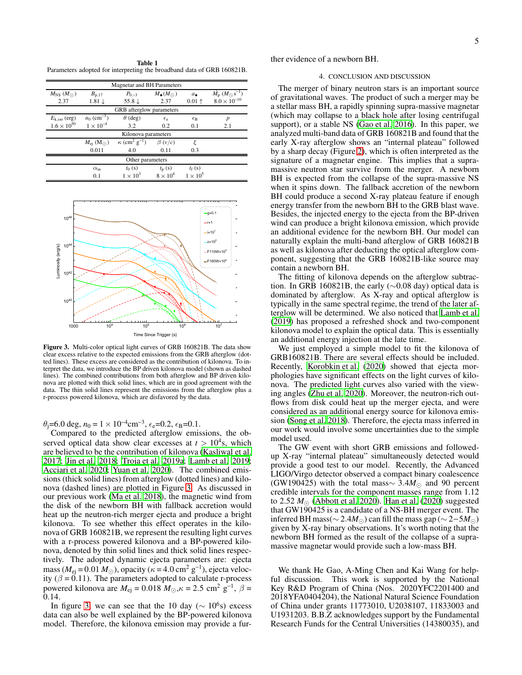Table 1 Parameters adopted for interpreting the broadband data of GRB 160821B.

| <b>Magnetar and BH Parameters</b> |                              |                                                           |                          |                    |                                                  |
|-----------------------------------|------------------------------|-----------------------------------------------------------|--------------------------|--------------------|--------------------------------------------------|
| $M_{\rm NS}~(M_{\odot})$          | $B_{\rm p,17}$               | $P_{0,-3}$                                                | $M_{\bullet}(M_{\odot})$ | $a_{\bullet}$      | $\dot{M}_{\rm p}$ $(M_{\odot}$ s <sup>-1</sup> ) |
| 2.37                              | $1.81 \downarrow$            | 55.8 $\downarrow$                                         | 2.37                     | $0.01 +$           | $8.0\times10^{-10}$                              |
| GRB afterglow parameters          |                              |                                                           |                          |                    |                                                  |
| $E_{\rm k,iso}$ (erg)             | $n_0$ (cm <sup>-3</sup> )    | $\theta$ (deg)                                            | $\epsilon_{\rm e}$       | $\epsilon_{\rm B}$ | p                                                |
| $1.6 \times 10^{50}$              | $1 \times 10^{-4}$           | 3.2                                                       | 0.2                      | 0.1                | 2.1                                              |
| Kilonova parameters               |                              |                                                           |                          |                    |                                                  |
|                                   | $M_{\rm ej}~({\rm M_\odot})$ | $\kappa$ (cm <sup>2</sup> g <sup>-1</sup> ) $\beta$ (v/c) |                          | ε                  |                                                  |
|                                   | 0.011                        | 4.0                                                       | 0.11                     | 0.3                |                                                  |
| Other parameters                  |                              |                                                           |                          |                    |                                                  |
|                                   | $\alpha_{\rm m}$             | $t_0(s)$                                                  | $t_{\rm p}$ (s)          | $t_f(s)$           |                                                  |
|                                   | 0.1                          | $1 \times 10^3$                                           | $8 \times 10^4$          | $1 \times 10^5$    |                                                  |



<span id="page-4-0"></span>Figure 3. Multi-color optical light curves of GRB 160821B. The data show clear excess relative to the expected emissions from the GRB afterglow (dotted lines). These excess are considered as the contribution of kilonova. To interpret the data, we introduce the BP driven kilonova model (shown as dashed lines). The combined contributions from both afterglow and BP driven kilonova are plotted with thick solid lines, which are in good agreement with the data. The thin solid lines represent the emissions from the afterglow plus a r-process powered kilonova, which are disfavored by the data.

 $\theta$ <sub>j</sub>=6.0 deg,  $n_0 = 1 \times 10^{-4} \text{cm}^{-3}$ ,  $\epsilon$ <sub>e</sub>=0.2,  $\epsilon$ <sub>B</sub>=0.1.

Compared to the predicted afterglow emissions, the observed optical data show clear excesses at  $t > 10^4$ s, which are believed to be the contribution of kilonova [\(Kasliwal et](#page-5-54) al. [2017;](#page-5-54) [Jin et al. 2018;](#page-5-55) [Troja et al. 2019a;](#page-5-25) [Lamb et al. 2019;](#page-5-26) [Acciari et al. 2020;](#page-5-56) [Yuan et al. 2020](#page-5-27)). The combined emissions (thick solid lines) from afterglow (dotted lines) and kilonova (dashed lines) are plotted in Figure [3.](#page-4-0) As discussed in our previous work [\(Ma et al. 2018](#page-5-50)), the magnetic wind from the disk of the newborn BH with fallback accretion would heat up the neutron-rich merger ejecta and produce a bright kilonova. To see whether this effect operates in the kilonova of GRB 160821B, we represent the resulting light curves with a r-process powered kilonova and a BP-powered kilonova, denoted by thin solid lines and thick solid lines respectively. The adopted dynamic ejecta parameters are: ejecta mass ( $M_{\text{ej}} = 0.01 M_{\odot}$ ), opacity ( $\kappa = 4.0 \text{ cm}^2 \text{ g}^{-1}$ ), ejecta velocity ( $\beta = 0.11$ ). The parameters adopted to calculate r-process powered kilonova are  $M_{\text{ej}} = 0.018 M_{\odot}$ ,  $\kappa = 2.5 \text{ cm}^2 \text{ g}^{-1}$ ,  $\beta =$ 0.14.

In figure [3,](#page-4-0) we can see that the 10 day ( $\sim 10^6$ s) excess data can also be well explained by the BP-powered kilonova model. Therefore, the kilonova emission may provide a further evidence of a newborn BH.

#### 4. CONCLUSION AND DISCUSSION

The merger of binary neutron stars is an important source of gravitational waves. The product of such a merger may be a stellar mass BH, a rapidly spinning supra-massive magnetar (which may collapse to a black hole after losing centrifugal support), or a stable NS [\(Gao et al. 2016\)](#page-5-57). In this paper, we analyzed multi-band data of GRB 160821B and found that the early X-ray afterglow shows an "internal plateau" followed by a sharp decay (Figure [2\)](#page-3-0), which is often interpreted as the signature of a magnetar engine. This implies that a supramassive neutron star survive from the merger. A newborn BH is expected from the collapse of the supra-massive NS when it spins down. The fallback accretion of the newborn BH could produce a second X-ray plateau feature if enough energy transfer from the newborn BH to the GRB blast wave. Besides, the injected energy to the ejecta from the BP-driven wind can produce a bright kilonova emission, which provide an additional evidence for the newborn BH. Our model can naturally explain the multi-band afterglow of GRB 160821B as well as kilonova after deducting the optical afterglow component, suggesting that the GRB 160821B-like source may contain a newborn BH.

The fitting of kilonova depends on the afterglow subtraction. In GRB 160821B, the early (∼0.08 day) optical data is dominated by afterglow. As X-ray and optical afterglow is typically in the same spectral regime, the trend of the later afterglow will be determined. We also noticed that [Lamb et al.](#page-5-26) [\(2019\)](#page-5-26) has proposed a refreshed shock and two-component kilonova model to explain the optical data. This is essentially an additional energy injection at the late time.

We just employed a simple model to fit the kilonova of GRB160821B. There are several effects should be included. Recently, [Korobkin et al. \(2020\)](#page-5-58) showed that ejecta morphologies have significant effects on the light curves of kilonova. The predicted light curves also varied with the viewing angles [\(Zhu et al. 2020\)](#page-5-59). Moreover, the neutron-rich outflows from disk could heat up the merger ejecta, and were considered as an additional energy source for kilonova emission [\(Song et al. 2018\)](#page-5-60). Therefore, the ejecta mass inferred in our work would involve some uncertainties due to the simple model used.

The GW event with short GRB emissions and followedup X-ray "internal plateau" simultaneously detected would provide a good test to our model. Recently, the Advanced LIGO/Virgo detector observed a compact binary coalescence (GW190425) with the total mass∼ 3.4*M*<sup>⊙</sup> and 90 percent credible intervals for the component masses range from 1.12 to 2.52  $M_{\odot}$  [\(Abbott et al. 2020\)](#page-5-61). [Han et al.](#page-5-62) [\(2020\)](#page-5-62) suggested that GW190425 is a candidate of a NS-BH merger event. The inferred BH mass( $\sim$  2.4 $M_{\odot}$ ) can fill the mass gap ( $\sim$  2−5 $M_{\odot}$ ) given by X-ray binary observations. It's worth noting that the newborn BH formed as the result of the collapse of a supramassive magnetar would provide such a low-mass BH.

We thank He Gao, A-Ming Chen and Kai Wang for helpful discussion. This work is supported by the National Key R&D Program of China (Nos. 2020YFC2201400 and 2018YFA0404204), the National Natural Science Foundation of China under grants 11773010, U2038107, 11833003 and U1931203. B.B.Z acknowledges support by the Fundamental Research Funds for the Central Universities (14380035), and